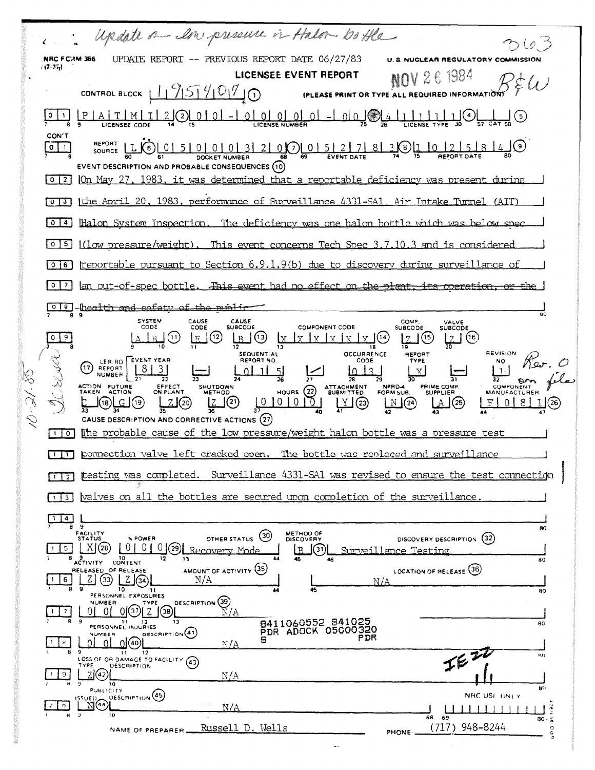Update on low presence in Halon boffle UPDATE REPORT -- PREVIOUS REPORT DATE 06/27/83 NRC FC2M 366 **U. S. NUCLEAR REGULATORY CO**  $(7.77)$ 1984 **LICENSEE EVENT REPORT OV 26** CONTROL BLOCK  $19599070$ (PLEASE PRINT OR TYPE ALL REQUIRED INFORMATION  $0$  | 1 CON'T REPORT  $301102584$  $0.015127$  $LL(6)$  $\boxed{0}$  1 50000  $8<sup>1</sup>$  $0<sup>1</sup>$ SOURCE DOCKET NUMBER EVENT DESCRIPTION AND PROBABLE CONSEQUENCES (10)  $\lceil 0 \rceil$  2 | On May 27, 1983, it was determined that a reportable deficiency was present during [0]3] Ithe April 20, 1983, performance of Surveillance 4331-SA1, Air Intake Tunnel (AIT) 0 4 Halon System Inspection. The deficiency was one halon bottle which was below spec  $[0]$  [1]  $(1)$  over the summary of  $[0]$   $(1)$   $(1)$   $(2)$   $(3)$   $(3)$   $(4)$   $(5)$   $(5)$   $(6)$   $(7)$   $(8)$   $(8)$   $(9)$   $(1)$   $(1)$   $(1)$   $(1)$   $(1)$   $(1)$   $(1)$   $(1)$   $(1)$   $(1)$   $(1)$   $(1)$   $(1)$   $(1)$   $(1)$   $(1)$   $(1)$  $\overline{1016}$  treportable pursuant to Section 6.9.1.9(b) due to discovery during surveillance of  $\lceil 0 \rceil$  an out-of-spec bottle. This event had no effect on the plant, its operation, or the 018 health and safety of the miblic SYSTEM<br>CODE CAUSE<br>CODE CAUSE<br>SUBCODE **COMP** VALVE<br>SUBCODE COMPONENT CODE **SUBCODE**  $|Z|^{(6)}$  $09$  $E(2)$  $R(3)$  x x x x x x x x x x (14)  $\lfloor 2 \rfloor$ <sup>(15)</sup>  $\lfloor R \rfloor$  $\rfloor($ ') SEQUENTIAL<br>REPORT NO. **REVISION** OCCURRENCE REPORT **EVENT YEAR** Rev. O (17) LER.RO<br>NUMBER CODE TYPE NO.  $|8|$ ្ស  $\overline{3}1$  $1013$  $0$ | 1 V  $\lceil \cdot \rceil$ 11  $\overline{37}$  $\mathbf{p}$ SHUTDOWN PRIME COMP. ACTION FUTURE<br>TAKEN ACTION ATTACHMENT<br>SUBMITTED EFFECT<br>ON PLANT NPRD-4 **COMPONENT** HOURS  $(22)$ FORM SUB **SUPPLIER MANUFACTURER**  $10101010$  $\mu$ <sup>y</sup> (23)  $Z$  $\odot$  $|Z(\mathbf{P})|$  $\frac{N}{42}$  $0181$ (18)[<u>၂၂</u>(၅  $\lfloor \mathbf{A} \rfloor$  (25)  $F \mid$  $1(26)$ CAUSE DESCRIPTION AND CORRECTIVE ACTIONS (27)  $\lceil \cdot \rceil$  The probable cause of the low pressure/weight halon bottle was a pressure test [1] pormection valve left cracked open. The bottle was replaced and surveillance [1] [esting was completed. Surveillance 4331-SA1 was revised to ensure the test connection [1] valves on all the bottles are secured upon completion of the surveillance  $\underbrace{\overbrace{\begin{array}{c}\n\mathbf{1} & \mathbf{1} & \mathbf{1} \\
\mathbf{0} & \mathbf{0} & \mathbf{0}\n\end{array}}}$ 80 FACILITY<br>STATUS METHOD OF<br>DISCOVERY  $(30)$ DISCOVERY DESCRIPTION (32) % POWER OTHER STATUS  $[X(28) 0 0 0]$  29 Recovery Mode  $\vert \cdot \vert$  5  $\vert$ Surveillance Testing  $B(3)$ 8 9 10<br>ACTIVITY CONTENT  $12$ 13 80 AMOUNT OF ACTIVITY (35) LOCATION OF RELEASE (36) OF RELEASE  $Z(3)$   $Z(3)$  $|6|$  $N/A$ N/A  $11$ 80 PERSONNEL EXPOSURES DESCRIPTION (39) **NUMBER** TYPE  $^{\circ}$ 0] $\circledcirc$ ြ $\overline{2}$ ြ $\circledast$  $\widecheck{\rm N}/{\rm A}$  $0101$  $7<sup>1</sup>$ 8411060552 841025<br>PDR ADOCK 05000320 11 12<br>PERSONNEL INJURIES 80 DESCRIPTION<sup>(41)</sup> NUMBER PDR  $\Omega$ <u> ဂ</u>ါ(စ)[  $|s|$  $\overline{0}$  $N/A$  $E^{\overline{v}}$ 12  $\overline{11}$ LOSS OF OR DAMAGE TO FACILITY (43) **DESCRIPTION** YPE  $Z(\overline{42})$  $9<sub>1</sub>$  $N/A$  $10$  $B()$ **PUBLICITY** DESCRIPTION (45) NRC USE ONLY JE D ™ີ  $\begin{array}{c|c|c|c|c} \hline \textbf{L} & \textbf{L} & \textbf{L} & \textbf{L} & \textbf{L} & \textbf{L} & \textbf{L} \\ \hline \textbf{69} & \textbf{58} & \textbf{58} & \textbf{58} & \textbf{58} & \textbf{58} & \textbf{58} & \textbf{58} & \textbf{58} & \textbf{58} & \textbf{58} & \textbf{58} & \textbf{58} & \textbf{58} & \textbf{58} & \textbf{58} & \textbf{58} & \textbf{58} & \textbf{58$  $N/A$ តន  $80.5$ (717) 948-8244 Russell D. Wells NAME OF PREPARER **PHONE**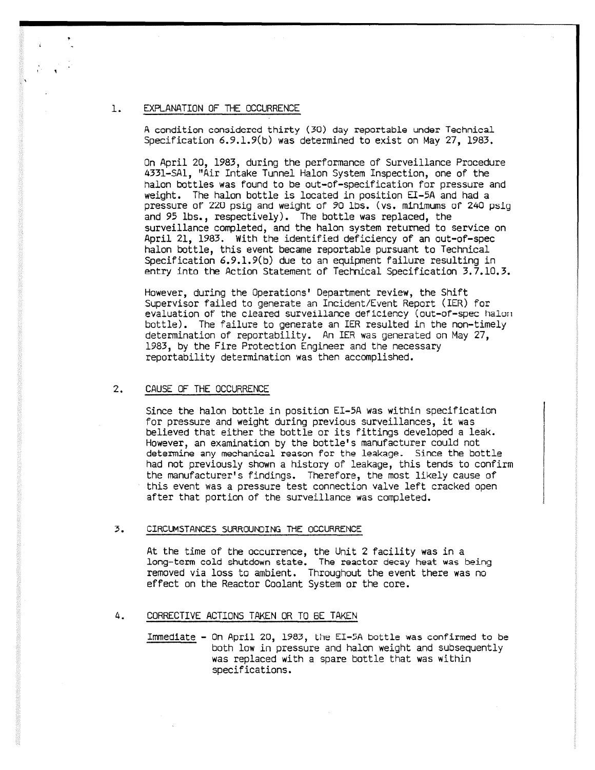### I, EXPLANATION OF THE OCCURRENCE

A condition considered thirty (30) day reportable under Technical Specification 6.9.1.9(b) was determined to exist on May 27, 1983.

On April 20, 1983, during the performance of Surveillance Procedure 4331-SA1, "Air Intake Tunnel Halon System Inspection, one of the halon bottles was found to be out-of-specification for pressure and weight. The halon bottle is located in position El-5A and had a pressure of 22U psig and weight of 90 lbs. (vs. minimums of 240 psig and 95 lbs., respectively). The bottle was replaced, the surveillance completed, and the halon system returned to service on April 21, 1983. With the identified deficiency of an out-of-spec halon bottle, this event became reportable pursuant to Technical Specification 6.9.1.9(b) due to an equipment failure resulting in entry into the Action Statement of Technical Specification 3.7.10.3.

However, during the Operations' Department review, the Shift Supervisor failed to generate an Incident/Event Report (IER) for evaluation of the cleared surveillance deficiency (out-of-spec halon) bottle). The failure to generate an IER resulted in the non-timely determination of reportability. An IER was generated on May 27, 1983, by the Fire Protection Engineer and the necessary reportability determination was then accomplished.

#### 2. CAUSE OF THE OCCURRENCE

Since the halon bottle in position EI-5A was within specification for pressure and weight during previous surveillances, it was believed that either the bottle or its fittings developed a leak. However, an examination by the bottle's manufacturer could not determine any mechanical reason for the leakage. Since the bottle had not previously shown a history of leakage, this tends to confirm the manufacturer's findings. Therefore, the most likely cause of this event was a pressure test connection valve left cracked open after that portion of the surveillance was completed.

#### 3. CIRCUMSTANCES SURROUNDING THE OCCURRENCE

At the time of the occurrence, the Unit 2 facility was in a long-term cold shutdown state. The reactor decay heat was being removed via loss to ambient. Throughout the event there was no effect on the Reactor Coolant System or the core.

### 4. CORRECTIVE ACTIONS TAKEN OR TO BE TAKEN

Immediate - On April 20, 1983, the El-5A bottle was confirmed to be both low in pressure and halon weight and subsequently was replaced with a spare bottle that was within specifications.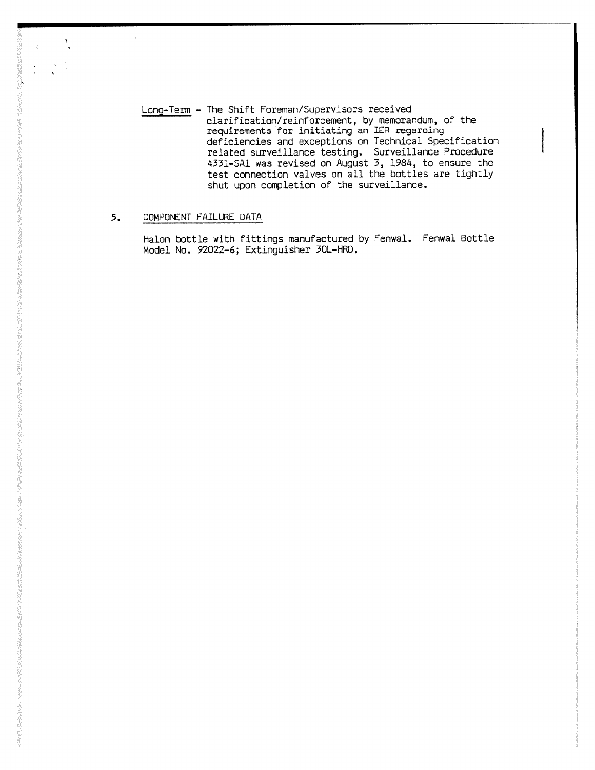Long-Term - The Shift Foreman/Supervisors received clarification/reinforcement, by memorandum, of the requirements for initiating an IER regarding deficiencies and exceptions on Technical Specification related surveillance testing. Surveillance Procedure 4331-SA1 was revised on August 3, 1984, to ensure the test connection valves on all the bottles are tightly shut upon completion of the surveillance.

# 5. COMPONENT FAILURE DATA

 $\sim 10$ 

Halon bottle with fittings manufactured by Fenwal. Fenwal Bottle Model No. 92022-6; Extinguisher 30L-HRD.